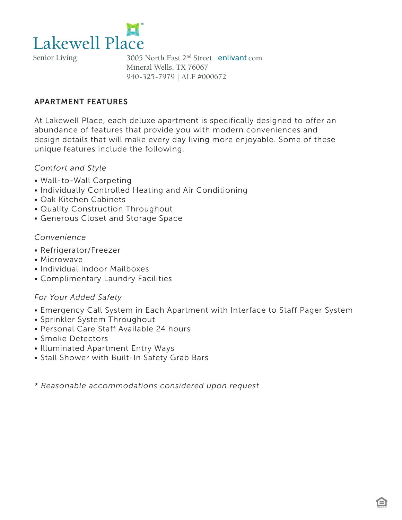

Senior Living

3005 North East 2nd Street enlivant.com Mineral Wells, TX 76067 940-325-7979 | ALF #000672

# APARTMENT FEATURES

At Lakewell Place, each deluxe apartment is specifically designed to offer an abundance of features that provide you with modern conveniences and design details that will make every day living more enjoyable. Some of these unique features include the following.

## *Comfort and Style*

- Wall-to-Wall Carpeting
- Individually Controlled Heating and Air Conditioning
- Oak Kitchen Cabinets
- Quality Construction Throughout
- Generous Closet and Storage Space

## *Convenience*

- Refrigerator/Freezer
- Microwave
- Individual Indoor Mailboxes
- Complimentary Laundry Facilities

## *For Your Added Safety*

- Emergency Call System in Each Apartment with Interface to Staff Pager System
- Sprinkler System Throughout
- Personal Care Staff Available 24 hours
- Smoke Detectors
- Illuminated Apartment Entry Ways
- Stall Shower with Built-In Safety Grab Bars

*\* Reasonable accommodations considered upon request*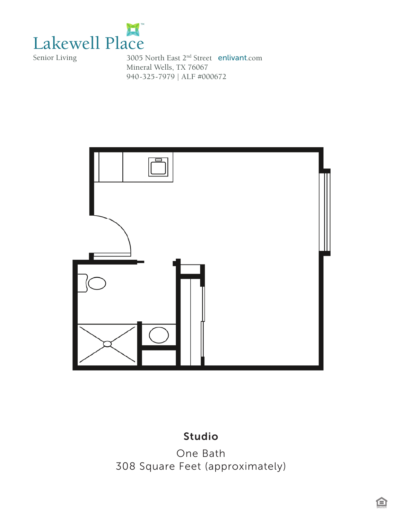

Senior Living

3005 North East 2nd Street enlivant.com Mineral Wells, TX 76067 940-325-7979 | ALF #000672



#### *Studio* Studio

*One Bath*  One Bath  *308 Square Feet (approximately)* 308 Square Feet (approximately)